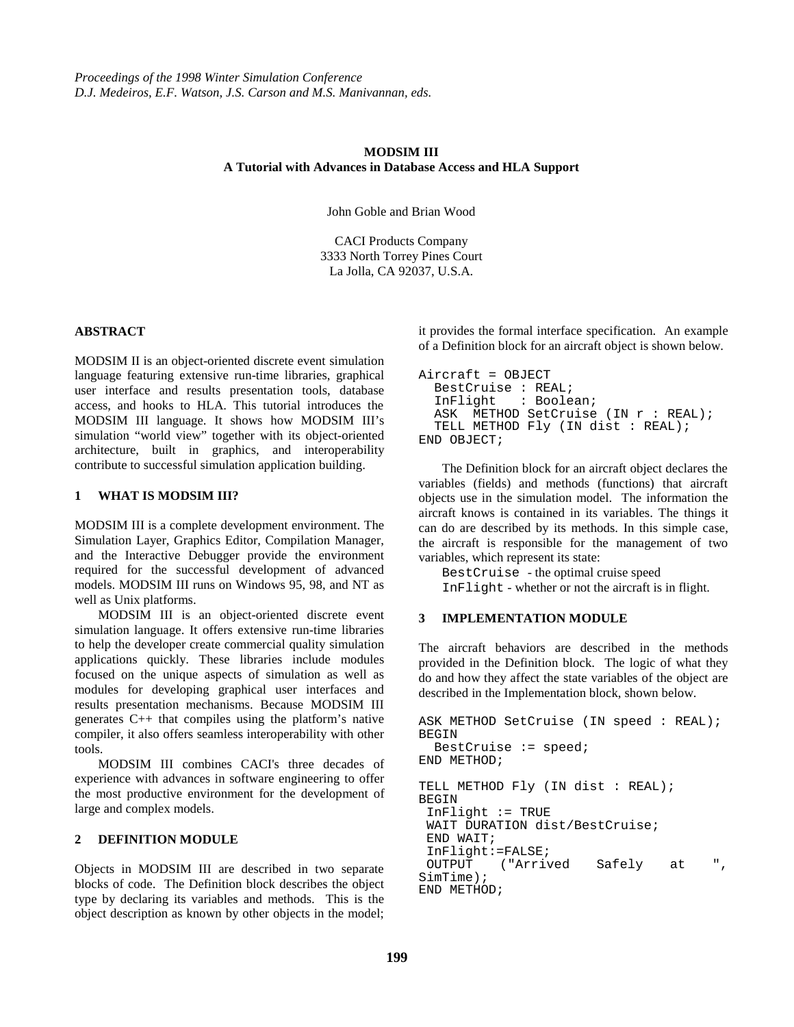#### **MODSIM III A Tutorial with Advances in Database Access and HLA Support**

John Goble and Brian Wood

CACI Products Company 3333 North Torrey Pines Court La Jolla, CA 92037, U.S.A.

#### **ABSTRACT**

MODSIM II is an object-oriented discrete event simulation language featuring extensive run-time libraries, graphical user interface and results presentation tools, database access, and hooks to HLA. This tutorial introduces the MODSIM III language. It shows how MODSIM III's simulation "world view" together with its object-oriented architecture, built in graphics, and interoperability contribute to successful simulation application building.

#### **1 WHAT IS MODSIM III?**

MODSIM III is a complete development environment. The Simulation Layer, Graphics Editor, Compilation Manager, and the Interactive Debugger provide the environment required for the successful development of advanced models. MODSIM III runs on Windows 95, 98, and NT as well as Unix platforms.

MODSIM III is an object-oriented discrete event simulation language. It offers extensive run-time libraries to help the developer create commercial quality simulation applications quickly. These libraries include modules focused on the unique aspects of simulation as well as modules for developing graphical user interfaces and results presentation mechanisms. Because MODSIM III generates C++ that compiles using the platform's native compiler, it also offers seamless interoperability with other tools.

MODSIM III combines CACI's three decades of experience with advances in software engineering to offer the most productive environment for the development of large and complex models.

### **2 DEFINITION MODULE**

Objects in MODSIM III are described in two separate blocks of code. The Definition block describes the object type by declaring its variables and methods. This is the object description as known by other objects in the model; it provides the formal interface specification. An example of a Definition block for an aircraft object is shown below.

```
Aircraft = OBJECT
   BestCruise : REAL;
   InFlight : Boolean;
  ASK METHOD SetCruise (IN r : REAL);
   TELL METHOD Fly (IN dist : REAL);
END OBJECT;
```
The Definition block for an aircraft object declares the variables (fields) and methods (functions) that aircraft objects use in the simulation model. The information the aircraft knows is contained in its variables. The things it can do are described by its methods. In this simple case, the aircraft is responsible for the management of two variables, which represent its state:

BestCruise - the optimal cruise speed InFlight - whether or not the aircraft is in flight.

#### **3 IMPLEMENTATION MODULE**

The aircraft behaviors are described in the methods provided in the Definition block. The logic of what they do and how they affect the state variables of the object are described in the Implementation block, shown below.

```
ASK METHOD SetCruise (IN speed : REAL);
BEGIN
   BestCruise := speed;
END METHOD;
TELL METHOD Fly (IN dist : REAL);
BEGIN
  InFlight := TRUE
  WAIT DURATION dist/BestCruise;
  END WAIT;
  InFlight:=FALSE;
 OUTPUT ("Arrived Safely at ",
SimTime);
END METHOD;
```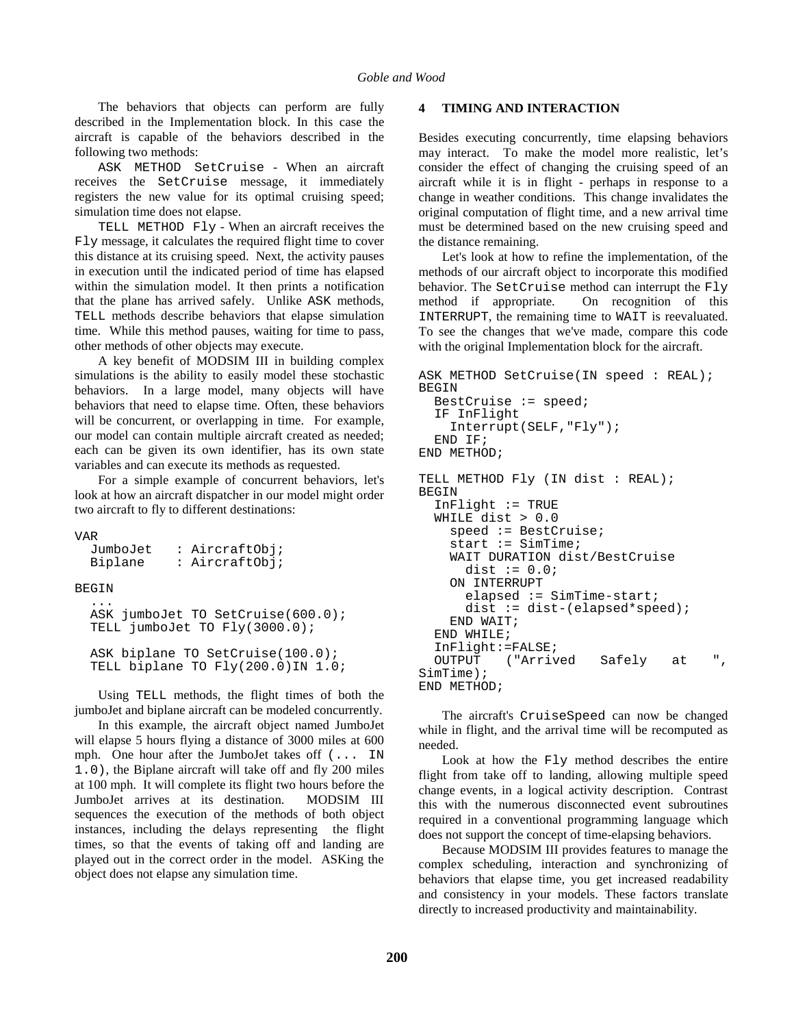The behaviors that objects can perform are fully described in the Implementation block. In this case the aircraft is capable of the behaviors described in the following two methods:

ASK METHOD SetCruise - When an aircraft receives the SetCruise message, it immediately registers the new value for its optimal cruising speed; simulation time does not elapse.

TELL METHOD Fly - When an aircraft receives the Fly message, it calculates the required flight time to cover this distance at its cruising speed. Next, the activity pauses in execution until the indicated period of time has elapsed within the simulation model. It then prints a notification that the plane has arrived safely. Unlike ASK methods, TELL methods describe behaviors that elapse simulation time. While this method pauses, waiting for time to pass, other methods of other objects may execute.

A key benefit of MODSIM III in building complex simulations is the ability to easily model these stochastic behaviors. In a large model, many objects will have behaviors that need to elapse time. Often, these behaviors will be concurrent, or overlapping in time. For example, our model can contain multiple aircraft created as needed; each can be given its own identifier, has its own state variables and can execute its methods as requested.

For a simple example of concurrent behaviors, let's look at how an aircraft dispatcher in our model might order two aircraft to fly to different destinations:

```
VAR
```

| JumboJet<br>Biplane | : AircraftObj;<br>: AircraftObj;                                       |
|---------------------|------------------------------------------------------------------------|
| <b>BEGIN</b>        |                                                                        |
|                     | ASK jumboJet TO SetCruise(600.0);<br>TELL jumboJet TO Fly(3000.0);     |
|                     | ASK biplane TO SetCruise(100.0);<br>TELL biplane TO Fly(200.0) IN 1.0; |

Using TELL methods, the flight times of both the jumboJet and biplane aircraft can be modeled concurrently.

In this example, the aircraft object named JumboJet will elapse 5 hours flying a distance of 3000 miles at 600 mph. One hour after the JumboJet takes off (... IN 1.0), the Biplane aircraft will take off and fly 200 miles at 100 mph. It will complete its flight two hours before the JumboJet arrives at its destination. MODSIM III sequences the execution of the methods of both object instances, including the delays representing the flight times, so that the events of taking off and landing are played out in the correct order in the model. ASKing the object does not elapse any simulation time.

#### **4 TIMING AND INTERACTION**

Besides executing concurrently, time elapsing behaviors may interact. To make the model more realistic, let's consider the effect of changing the cruising speed of an aircraft while it is in flight - perhaps in response to a change in weather conditions. This change invalidates the original computation of flight time, and a new arrival time must be determined based on the new cruising speed and the distance remaining.

Let's look at how to refine the implementation, of the methods of our aircraft object to incorporate this modified behavior. The SetCruise method can interrupt the Fly method if appropriate. On recognition of this INTERRUPT, the remaining time to WAIT is reevaluated. To see the changes that we've made, compare this code with the original Implementation block for the aircraft.

```
ASK METHOD SetCruise(IN speed : REAL);
BEGIN
   BestCruise := speed;
   IF InFlight
     Interrupt(SELF,"Fly");
   END IF;
END METHOD;
TELL METHOD Fly (IN dist : REAL);
BEGIN
   InFlight := TRUE
   WHILE dist > 0.0
     speed := BestCruise;
    start := SimTime; WAIT DURATION dist/BestCruise
      dist := 0.0; ON INTERRUPT
       elapsed := SimTime-start;
      dist := dist-(elapsed*speed);
     END WAIT;
   END WHILE;
   InFlight:=FALSE;
   OUTPUT ("Arrived Safely at ",
SimTime);
END METHOD;
```
The aircraft's CruiseSpeed can now be changed while in flight, and the arrival time will be recomputed as needed.

Look at how the Fly method describes the entire flight from take off to landing, allowing multiple speed change events, in a logical activity description. Contrast this with the numerous disconnected event subroutines required in a conventional programming language which does not support the concept of time-elapsing behaviors.

Because MODSIM III provides features to manage the complex scheduling, interaction and synchronizing of behaviors that elapse time, you get increased readability and consistency in your models. These factors translate directly to increased productivity and maintainability.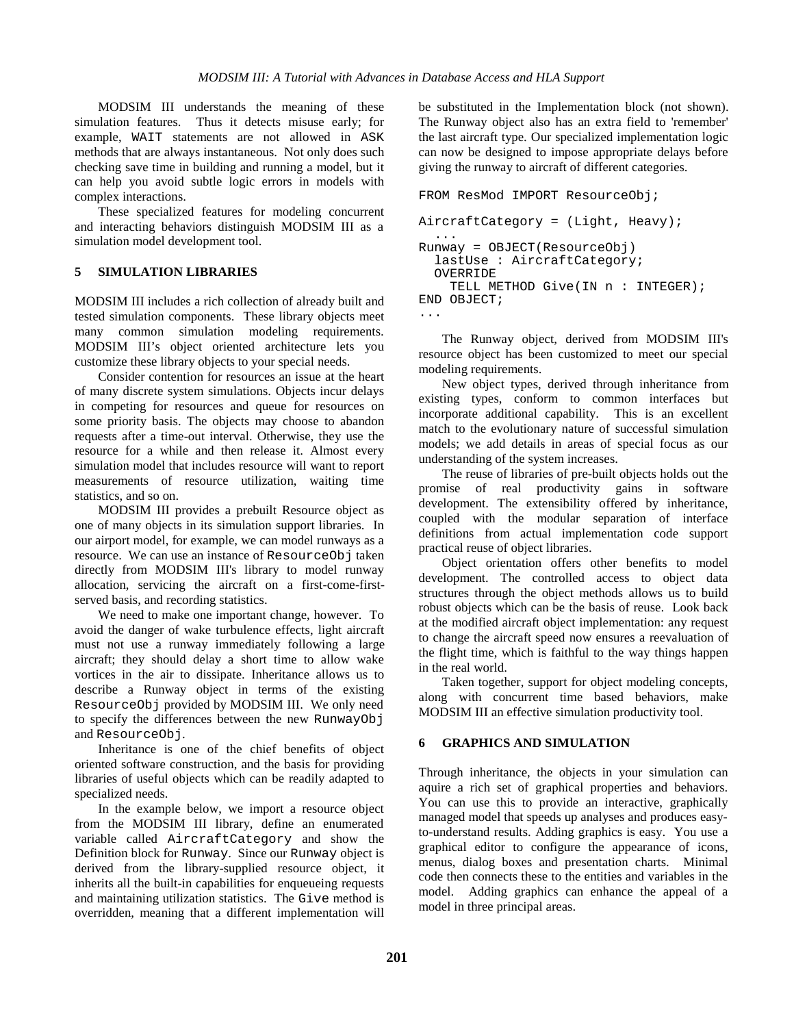MODSIM III understands the meaning of these simulation features. Thus it detects misuse early; for example, WAIT statements are not allowed in ASK methods that are always instantaneous. Not only does such checking save time in building and running a model, but it can help you avoid subtle logic errors in models with complex interactions.

These specialized features for modeling concurrent and interacting behaviors distinguish MODSIM III as a simulation model development tool.

#### **5 SIMULATION LIBRARIES**

MODSIM III includes a rich collection of already built and tested simulation components. These library objects meet many common simulation modeling requirements. MODSIM III's object oriented architecture lets you customize these library objects to your special needs.

Consider contention for resources an issue at the heart of many discrete system simulations. Objects incur delays in competing for resources and queue for resources on some priority basis. The objects may choose to abandon requests after a time-out interval. Otherwise, they use the resource for a while and then release it. Almost every simulation model that includes resource will want to report measurements of resource utilization, waiting time statistics, and so on.

MODSIM III provides a prebuilt Resource object as one of many objects in its simulation support libraries. In our airport model, for example, we can model runways as a resource. We can use an instance of ResourceObj taken directly from MODSIM III's library to model runway allocation, servicing the aircraft on a first-come-firstserved basis, and recording statistics.

We need to make one important change, however. To avoid the danger of wake turbulence effects, light aircraft must not use a runway immediately following a large aircraft; they should delay a short time to allow wake vortices in the air to dissipate. Inheritance allows us to describe a Runway object in terms of the existing ResourceObj provided by MODSIM III. We only need to specify the differences between the new RunwayObj and ResourceObj.

Inheritance is one of the chief benefits of object oriented software construction, and the basis for providing libraries of useful objects which can be readily adapted to specialized needs.

In the example below, we import a resource object from the MODSIM III library, define an enumerated variable called AircraftCategory and show the Definition block for Runway. Since our Runway object is derived from the library-supplied resource object, it inherits all the built-in capabilities for enqueueing requests and maintaining utilization statistics. The Give method is overridden, meaning that a different implementation will

be substituted in the Implementation block (not shown). The Runway object also has an extra field to 'remember' the last aircraft type. Our specialized implementation logic can now be designed to impose appropriate delays before giving the runway to aircraft of different categories.

```
FROM ResMod IMPORT ResourceObj;
AircraftCategory = (Light, Heavy);
   ...
Runway = OBJECT(ResourceObj)
   lastUse : AircraftCategory;
   OVERRIDE
     TELL METHOD Give(IN n : INTEGER);
END OBJECT;
...
```
The Runway object, derived from MODSIM III's resource object has been customized to meet our special modeling requirements.

New object types, derived through inheritance from existing types, conform to common interfaces but incorporate additional capability. This is an excellent match to the evolutionary nature of successful simulation models; we add details in areas of special focus as our understanding of the system increases.

The reuse of libraries of pre-built objects holds out the promise of real productivity gains in software development. The extensibility offered by inheritance, coupled with the modular separation of interface definitions from actual implementation code support practical reuse of object libraries.

Object orientation offers other benefits to model development. The controlled access to object data structures through the object methods allows us to build robust objects which can be the basis of reuse. Look back at the modified aircraft object implementation: any request to change the aircraft speed now ensures a reevaluation of the flight time, which is faithful to the way things happen in the real world.

Taken together, support for object modeling concepts, along with concurrent time based behaviors, make MODSIM III an effective simulation productivity tool.

## **6 GRAPHICS AND SIMULATION**

Through inheritance, the objects in your simulation can aquire a rich set of graphical properties and behaviors. You can use this to provide an interactive, graphically managed model that speeds up analyses and produces easyto-understand results. Adding graphics is easy. You use a graphical editor to configure the appearance of icons, menus, dialog boxes and presentation charts. Minimal code then connects these to the entities and variables in the model. Adding graphics can enhance the appeal of a model in three principal areas.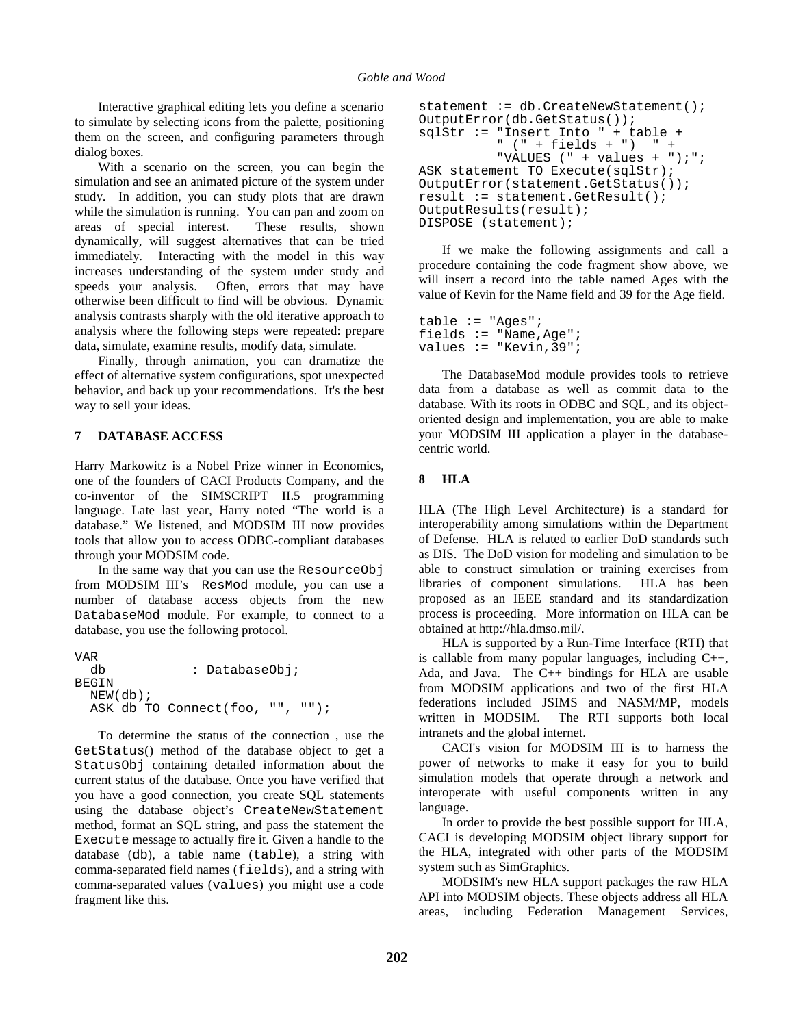Interactive graphical editing lets you define a scenario to simulate by selecting icons from the palette, positioning them on the screen, and configuring parameters through dialog boxes.

With a scenario on the screen, you can begin the simulation and see an animated picture of the system under study. In addition, you can study plots that are drawn while the simulation is running. You can pan and zoom on areas of special interest. These results, shown dynamically, will suggest alternatives that can be tried immediately. Interacting with the model in this way increases understanding of the system under study and speeds your analysis. Often, errors that may have otherwise been difficult to find will be obvious. Dynamic analysis contrasts sharply with the old iterative approach to analysis where the following steps were repeated: prepare data, simulate, examine results, modify data, simulate.

Finally, through animation, you can dramatize the effect of alternative system configurations, spot unexpected behavior, and back up your recommendations. It's the best way to sell your ideas.

## **7 DATABASE ACCESS**

Harry Markowitz is a Nobel Prize winner in Economics, one of the founders of CACI Products Company, and the co-inventor of the SIMSCRIPT II.5 programming language. Late last year, Harry noted "The world is a database." We listened, and MODSIM III now provides tools that allow you to access ODBC-compliant databases through your MODSIM code.

In the same way that you can use the ResourceObj from MODSIM III's ResMod module, you can use a number of database access objects from the new DatabaseMod module. For example, to connect to a database, you use the following protocol.

VAR db : DatabaseObj; BEGIN NEW(db); ASK db TO Connect(foo, "", "");

To determine the status of the connection , use the GetStatus() method of the database object to get a StatusObj containing detailed information about the current status of the database. Once you have verified that you have a good connection, you create SQL statements using the database object's CreateNewStatement method, format an SQL string, and pass the statement the Execute message to actually fire it. Given a handle to the database (db), a table name (table), a string with comma-separated field names (fields), and a string with comma-separated values (values) you might use a code fragment like this.

```
statement := db. CreateNewStatement();
OutputError(db.GetStatus());
sqlStr := "Insert Into " + table +
           " (" + fields + ") " +
          "VALUES ( " + values + "); ";
ASK statement TO Execute(sqlStr);
OutputError(statement.GetStatus());
result := statement.GetResult();
OutputResults(result);
DISPOSE (statement);
```
If we make the following assignments and call a procedure containing the code fragment show above, we will insert a record into the table named Ages with the value of Kevin for the Name field and 39 for the Age field.

```
table := "Ages";
fields := "Name,Age";
values := "Kevin, 39";
```
The DatabaseMod module provides tools to retrieve data from a database as well as commit data to the database. With its roots in ODBC and SQL, and its objectoriented design and implementation, you are able to make your MODSIM III application a player in the databasecentric world.

#### **8 HLA**

HLA (The High Level Architecture) is a standard for interoperability among simulations within the Department of Defense. HLA is related to earlier DoD standards such as DIS. The DoD vision for modeling and simulation to be able to construct simulation or training exercises from libraries of component simulations. HLA has been proposed as an IEEE standard and its standardization process is proceeding. More information on HLA can be obtained at http://hla.dmso.mil/.

HLA is supported by a Run-Time Interface (RTI) that is callable from many popular languages, including C++, Ada, and Java. The C++ bindings for HLA are usable from MODSIM applications and two of the first HLA federations included JSIMS and NASM/MP, models written in MODSIM. The RTI supports both local intranets and the global internet.

CACI's vision for MODSIM III is to harness the power of networks to make it easy for you to build simulation models that operate through a network and interoperate with useful components written in any language.

In order to provide the best possible support for HLA, CACI is developing MODSIM object library support for the HLA, integrated with other parts of the MODSIM system such as SimGraphics.

MODSIM's new HLA support packages the raw HLA API into MODSIM objects. These objects address all HLA areas, including Federation Management Services,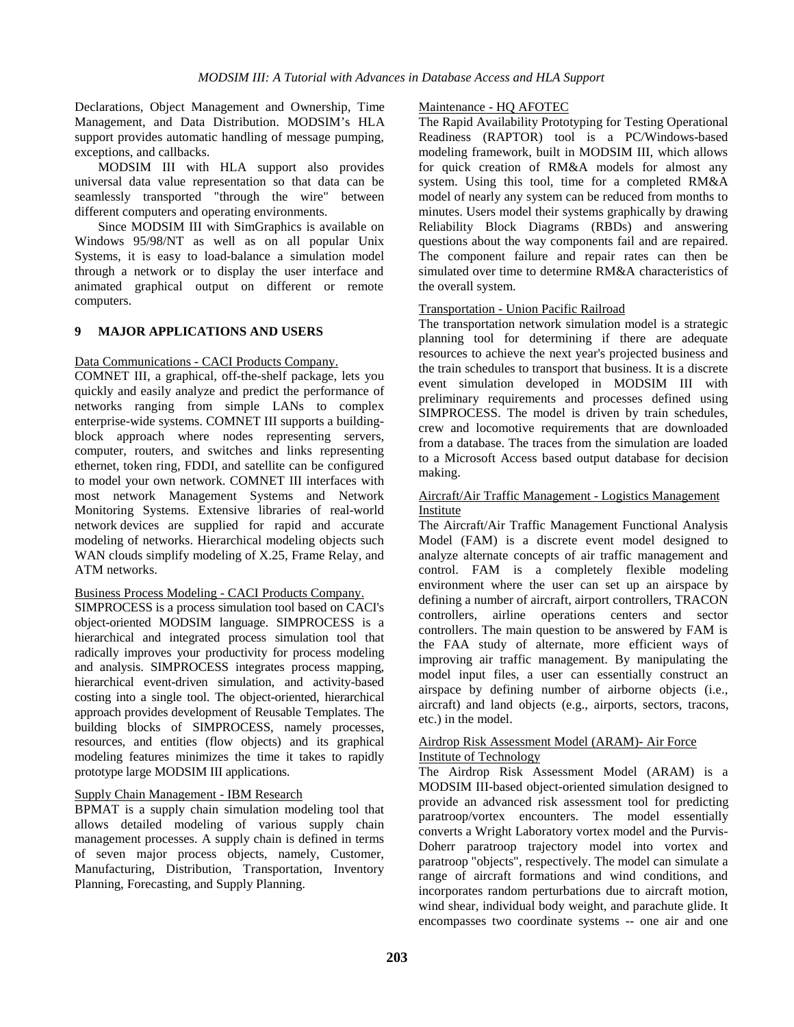Declarations, Object Management and Ownership, Time Management, and Data Distribution. MODSIM's HLA support provides automatic handling of message pumping, exceptions, and callbacks.

MODSIM III with HLA support also provides universal data value representation so that data can be seamlessly transported "through the wire" between different computers and operating environments.

Since MODSIM III with SimGraphics is available on Windows 95/98/NT as well as on all popular Unix Systems, it is easy to load-balance a simulation model through a network or to display the user interface and animated graphical output on different or remote computers.

## **9 MAJOR APPLICATIONS AND USERS**

#### Data Communications - CACI Products Company.

COMNET III, a graphical, off-the-shelf package, lets you quickly and easily analyze and predict the performance of networks ranging from simple LANs to complex enterprise-wide systems. COMNET III supports a buildingblock approach where nodes representing servers, computer, routers, and switches and links representing ethernet, token ring, FDDI, and satellite can be configured to model your own network. COMNET III interfaces with most network Management Systems and Network Monitoring Systems. Extensive libraries of real-world network devices are supplied for rapid and accurate modeling of networks. Hierarchical modeling objects such WAN clouds simplify modeling of X.25, Frame Relay, and ATM networks.

#### Business Process Modeling - CACI Products Company.

SIMPROCESS is a process simulation tool based on CACI's object-oriented MODSIM language. SIMPROCESS is a hierarchical and integrated process simulation tool that radically improves your productivity for process modeling and analysis. SIMPROCESS integrates process mapping, hierarchical event-driven simulation, and activity-based costing into a single tool. The object-oriented, hierarchical approach provides development of Reusable Templates. The building blocks of SIMPROCESS, namely processes, resources, and entities (flow objects) and its graphical modeling features minimizes the time it takes to rapidly prototype large MODSIM III applications.

#### Supply Chain Management - IBM Research

BPMAT is a supply chain simulation modeling tool that allows detailed modeling of various supply chain management processes. A supply chain is defined in terms of seven major process objects, namely, Customer, Manufacturing, Distribution, Transportation, Inventory Planning, Forecasting, and Supply Planning.

## Maintenance - HQ AFOTEC

The Rapid Availability Prototyping for Testing Operational Readiness (RAPTOR) tool is a PC/Windows-based modeling framework, built in MODSIM III, which allows for quick creation of RM&A models for almost any system. Using this tool, time for a completed RM&A model of nearly any system can be reduced from months to minutes. Users model their systems graphically by drawing Reliability Block Diagrams (RBDs) and answering questions about the way components fail and are repaired. The component failure and repair rates can then be simulated over time to determine RM&A characteristics of the overall system.

#### Transportation - Union Pacific Railroad

The transportation network simulation model is a strategic planning tool for determining if there are adequate resources to achieve the next year's projected business and the train schedules to transport that business. It is a discrete event simulation developed in MODSIM III with preliminary requirements and processes defined using SIMPROCESS. The model is driven by train schedules, crew and locomotive requirements that are downloaded from a database. The traces from the simulation are loaded to a Microsoft Access based output database for decision making.

## Aircraft/Air Traffic Management - Logistics Management Institute

The Aircraft/Air Traffic Management Functional Analysis Model (FAM) is a discrete event model designed to analyze alternate concepts of air traffic management and control. FAM is a completely flexible modeling environment where the user can set up an airspace by defining a number of aircraft, airport controllers, TRACON controllers, airline operations centers and sector controllers. The main question to be answered by FAM is the FAA study of alternate, more efficient ways of improving air traffic management. By manipulating the model input files, a user can essentially construct an airspace by defining number of airborne objects (i.e., aircraft) and land objects (e.g., airports, sectors, tracons, etc.) in the model.

# Airdrop Risk Assessment Model (ARAM)- Air Force

# Institute of Technology

The Airdrop Risk Assessment Model (ARAM) is a MODSIM III-based object-oriented simulation designed to provide an advanced risk assessment tool for predicting paratroop/vortex encounters. The model essentially converts a Wright Laboratory vortex model and the Purvis-Doherr paratroop trajectory model into vortex and paratroop "objects", respectively. The model can simulate a range of aircraft formations and wind conditions, and incorporates random perturbations due to aircraft motion, wind shear, individual body weight, and parachute glide. It encompasses two coordinate systems -- one air and one